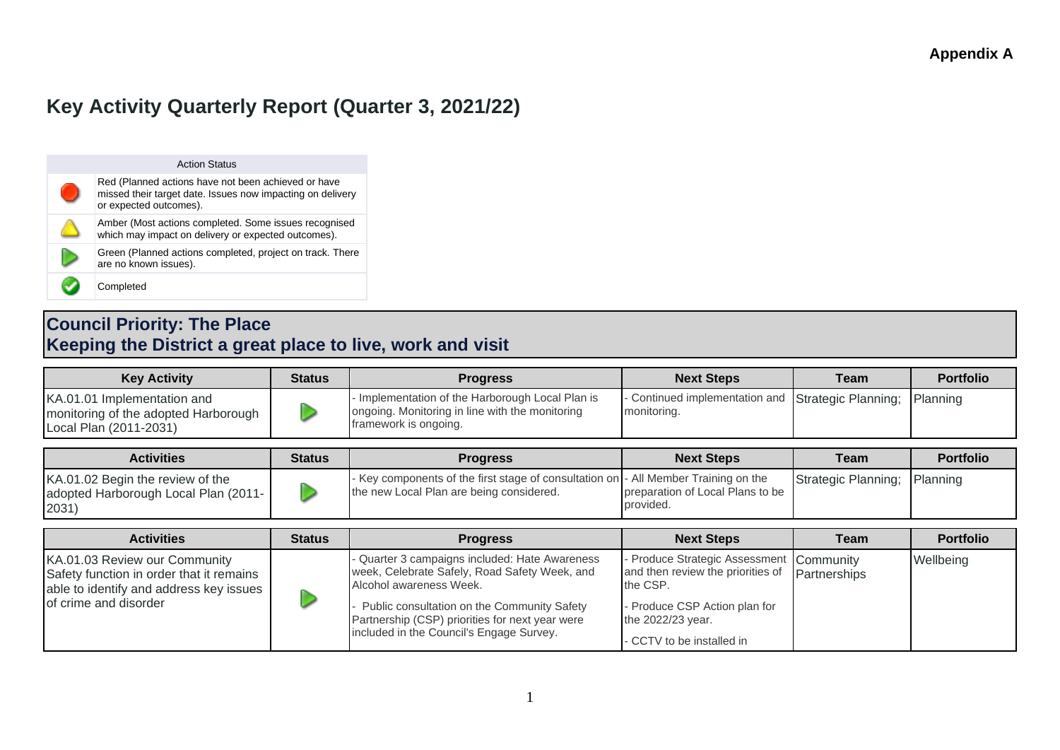# **Key Activity Quarterly Report (Quarter 3, 2021/22)**

| <b>Action Status</b>                                                                                                                        |
|---------------------------------------------------------------------------------------------------------------------------------------------|
| Red (Planned actions have not been achieved or have<br>missed their target date. Issues now impacting on delivery<br>or expected outcomes). |
| Amber (Most actions completed. Some issues recognised<br>which may impact on delivery or expected outcomes).                                |
| Green (Planned actions completed, project on track. There<br>are no known issues).                                                          |
| Completed                                                                                                                                   |

### **Council Priority: The Place Keeping the District a great place to live, work and visit**

| <b>Key Activity</b>                                                                           | <b>Status</b> | <b>Progress</b>                                                                                                              | <b>Next Steps</b>                                                          | Team | <b>Portfolio</b> |
|-----------------------------------------------------------------------------------------------|---------------|------------------------------------------------------------------------------------------------------------------------------|----------------------------------------------------------------------------|------|------------------|
| KA.01.01 Implementation and<br>monitoring of the adopted Harborough<br>Local Plan (2011-2031) |               | - Implementation of the Harborough Local Plan is<br>ongoing. Monitoring in line with the monitoring<br>framework is ongoing. | - Continued implementation and Strategic Planning; Planning<br>monitoring. |      |                  |
|                                                                                               |               |                                                                                                                              |                                                                            |      |                  |

| <b>Activities</b>                                                                 | <b>Status</b> | <b>Progress</b>                                                                                                                 | <b>Next Steps</b>                             | Team                         | <b>Portfolio</b> |
|-----------------------------------------------------------------------------------|---------------|---------------------------------------------------------------------------------------------------------------------------------|-----------------------------------------------|------------------------------|------------------|
| KA.01.02 Begin the review of the<br>adopted Harborough Local Plan (2011-<br>2031) |               | - Key components of the first stage of consultation on - All Member Training on the<br>the new Local Plan are being considered. | preparation of Local Plans to be<br>provided. | Strategic Planning; Planning |                  |

| <b>Activities</b>                                                                                                                             | <b>Status</b> | <b>Progress</b>                                                                                                                                                                                                                                                        | <b>Next Steps</b>                                                                                                                                                                       | <b>Team</b> | <b>Portfolio</b> |
|-----------------------------------------------------------------------------------------------------------------------------------------------|---------------|------------------------------------------------------------------------------------------------------------------------------------------------------------------------------------------------------------------------------------------------------------------------|-----------------------------------------------------------------------------------------------------------------------------------------------------------------------------------------|-------------|------------------|
| KA.01.03 Review our Community<br>Safety function in order that it remains<br>able to identify and address key issues<br>of crime and disorder |               | Quarter 3 campaigns included: Hate Awareness<br>week, Celebrate Safely, Road Safety Week, and<br>Alcohol awareness Week.<br>Public consultation on the Community Safety<br>Partnership (CSP) priorities for next year were<br>included in the Council's Engage Survey. | - Produce Strategic Assessment Community<br>and then review the priorities of Partnerships<br>the CSP.<br>- Produce CSP Action plan for<br>the 2022/23 year.<br>CCTV to be installed in |             | Wellbeing        |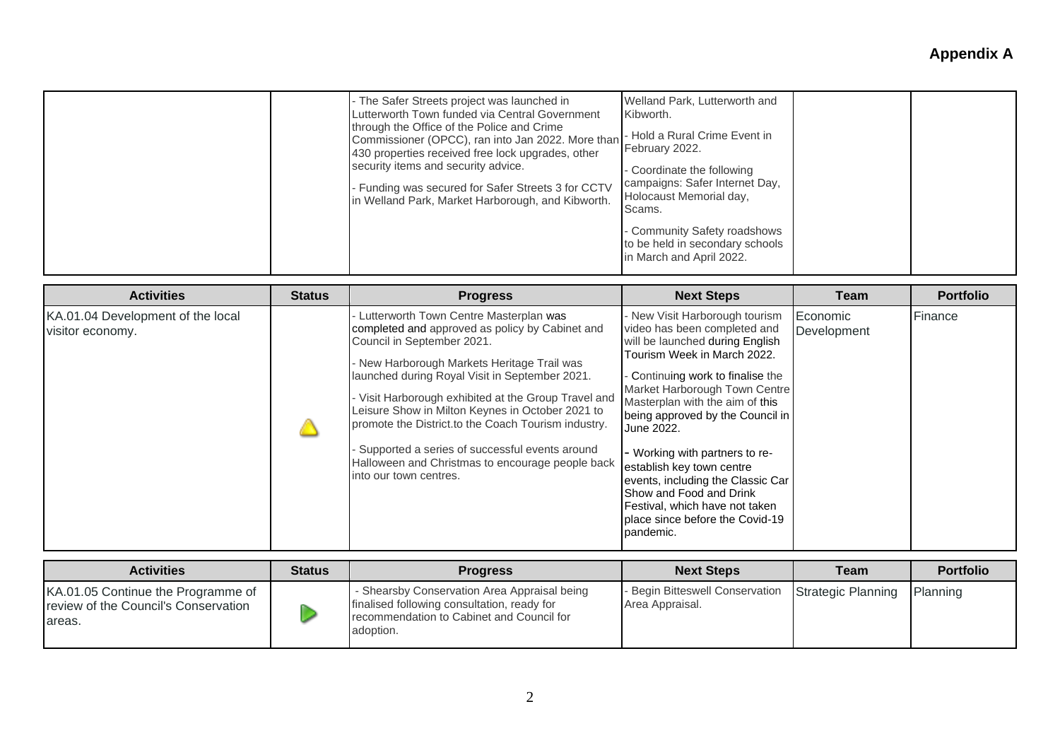| - The Safer Streets project was launched in<br>Lutterworth Town funded via Central Government<br>through the Office of the Police and Crime<br>Commissioner (OPCC), ran into Jan 2022. More than<br>430 properties received free lock upgrades, other<br>security items and security advice.<br>- Funding was secured for Safer Streets 3 for CCTV<br>in Welland Park, Market Harborough, and Kibworth. | Welland Park, Lutterworth and<br>Kibworth.<br>- Hold a Rural Crime Event in<br>February 2022.<br>- Coordinate the following<br>campaigns: Safer Internet Day,<br>Holocaust Memorial day,<br>Scams.<br>- Community Safety roadshows<br>to be held in secondary schools<br>in March and April 2022. |
|---------------------------------------------------------------------------------------------------------------------------------------------------------------------------------------------------------------------------------------------------------------------------------------------------------------------------------------------------------------------------------------------------------|---------------------------------------------------------------------------------------------------------------------------------------------------------------------------------------------------------------------------------------------------------------------------------------------------|
|---------------------------------------------------------------------------------------------------------------------------------------------------------------------------------------------------------------------------------------------------------------------------------------------------------------------------------------------------------------------------------------------------------|---------------------------------------------------------------------------------------------------------------------------------------------------------------------------------------------------------------------------------------------------------------------------------------------------|

| <b>Activities</b>                                     | <b>Status</b> | <b>Progress</b>                                                                                                                                                                                                                                                                                                                                                                                                                                                                                                           | <b>Next Steps</b>                                                                                                                                                                                                                                                                                                                                                                                                                                                                                             | Team                    | <b>Portfolio</b> |
|-------------------------------------------------------|---------------|---------------------------------------------------------------------------------------------------------------------------------------------------------------------------------------------------------------------------------------------------------------------------------------------------------------------------------------------------------------------------------------------------------------------------------------------------------------------------------------------------------------------------|---------------------------------------------------------------------------------------------------------------------------------------------------------------------------------------------------------------------------------------------------------------------------------------------------------------------------------------------------------------------------------------------------------------------------------------------------------------------------------------------------------------|-------------------------|------------------|
| KA.01.04 Development of the local<br>visitor economy. |               | Lutterworth Town Centre Masterplan was<br>completed and approved as policy by Cabinet and<br>Council in September 2021.<br>New Harborough Markets Heritage Trail was<br>launched during Royal Visit in September 2021.<br>- Visit Harborough exhibited at the Group Travel and<br>Leisure Show in Milton Keynes in October 2021 to<br>promote the District.to the Coach Tourism industry.<br>Supported a series of successful events around<br>Halloween and Christmas to encourage people back<br>into our town centres. | - New Visit Harborough tourism<br>video has been completed and<br>will be launched during English<br>Tourism Week in March 2022.<br>- Continuing work to finalise the<br>Market Harborough Town Centre<br>Masterplan with the aim of this<br>being approved by the Council in<br>June 2022.<br>- Working with partners to re-<br>establish key town centre<br>events, including the Classic Car<br>Show and Food and Drink<br>Festival, which have not taken<br>Iplace since before the Covid-19<br>pandemic. | Economic<br>Development | Finance          |

| <b>Activities</b>                                                                     | <b>Status</b> | <b>Progress</b>                                                                                                                                       | <b>Next Steps</b>                                                     | Team | <b>Portfolio</b> |
|---------------------------------------------------------------------------------------|---------------|-------------------------------------------------------------------------------------------------------------------------------------------------------|-----------------------------------------------------------------------|------|------------------|
| KA.01.05 Continue the Programme of<br>review of the Council's Conservation<br>lareas. |               | - Shearsby Conservation Area Appraisal being<br>finalised following consultation, ready for<br>recommendation to Cabinet and Council for<br>adoption. | - Begin Bitteswell Conservation Strategic Planning<br>Area Appraisal. |      | Planning         |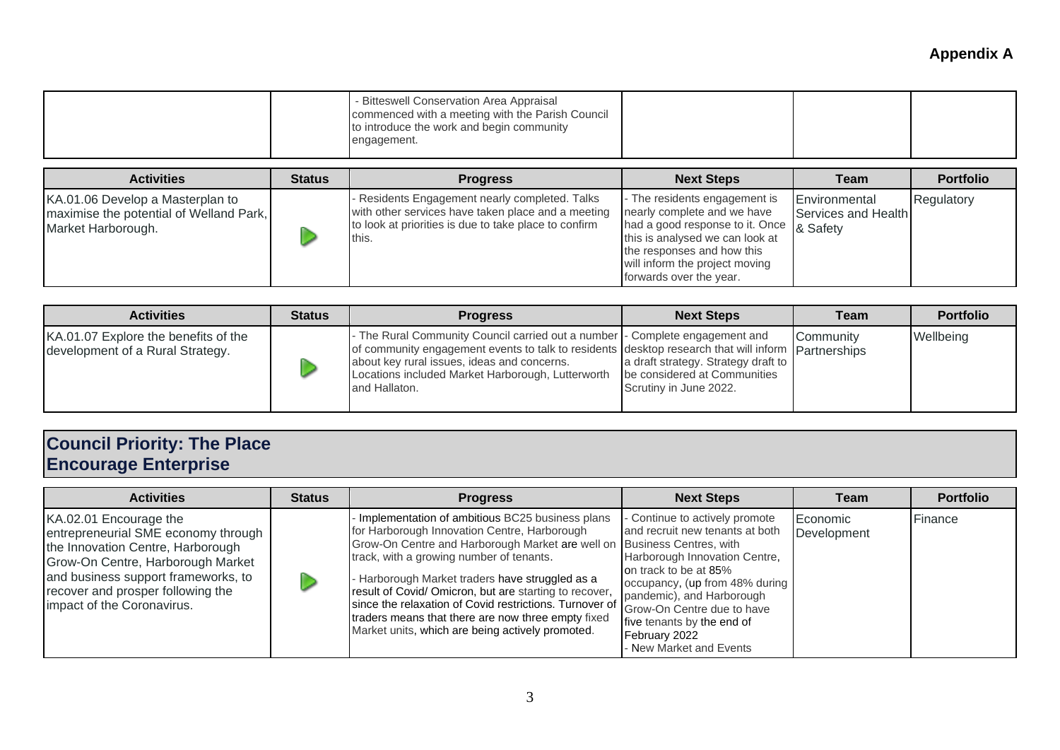| - Bitteswell Conservation Area Appraisal<br>commenced with a meeting with the Parish Council<br>to introduce the work and begin community<br>engagement. |  |  |  |
|----------------------------------------------------------------------------------------------------------------------------------------------------------|--|--|--|
|----------------------------------------------------------------------------------------------------------------------------------------------------------|--|--|--|

| <b>Activities</b>                                                                                 | <b>Status</b> | <b>Progress</b>                                                                                                                                                        | <b>Next Steps</b>                                                                                                                                                                                                                      | Team                                 | <b>Portfolio</b> |
|---------------------------------------------------------------------------------------------------|---------------|------------------------------------------------------------------------------------------------------------------------------------------------------------------------|----------------------------------------------------------------------------------------------------------------------------------------------------------------------------------------------------------------------------------------|--------------------------------------|------------------|
| KA.01.06 Develop a Masterplan to<br>maximise the potential of Welland Park,<br>Market Harborough. |               | - Residents Engagement nearly completed. Talks<br>with other services have taken place and a meeting<br>to look at priorities is due to take place to confirm<br>this. | - The residents engagement is<br>nearly complete and we have<br>had a good response to it. Once 8 Safety<br>this is analysed we can look at<br>the responses and how this<br>will inform the project moving<br>forwards over the year. | Environmental<br>Services and Health | Regulatory       |

| <b>Activities</b>                                                        | <b>Status</b> | <b>Progress</b>                                                                                                                                                                                                                                                                                                                        | <b>Next Steps</b>                                             | Team      | <b>Portfolio</b> |
|--------------------------------------------------------------------------|---------------|----------------------------------------------------------------------------------------------------------------------------------------------------------------------------------------------------------------------------------------------------------------------------------------------------------------------------------------|---------------------------------------------------------------|-----------|------------------|
| KA.01.07 Explore the benefits of the<br>development of a Rural Strategy. |               | - The Rural Community Council carried out a number - Complete engagement and<br>of community engagement events to talk to residents desktop research that will inform partnerships<br>about key rural issues, ideas and concerns.<br>Locations included Market Harborough, Lutterworth   be considered at Communities<br>and Hallaton. | a draft strategy. Strategy draft to<br>Scrutiny in June 2022. | Community | Wellbeing        |

#### **Council Priority: The Place Encourage Enterprise**

| <b>Activities</b>                                                                                                                                                                                                                                 | <b>Status</b> | <b>Progress</b>                                                                                                                                                                                                                                                                                                                                                                                                                                                                                        | <b>Next Steps</b>                                                                                                                                                                                                                                                                                  | Team                    | <b>Portfolio</b> |
|---------------------------------------------------------------------------------------------------------------------------------------------------------------------------------------------------------------------------------------------------|---------------|--------------------------------------------------------------------------------------------------------------------------------------------------------------------------------------------------------------------------------------------------------------------------------------------------------------------------------------------------------------------------------------------------------------------------------------------------------------------------------------------------------|----------------------------------------------------------------------------------------------------------------------------------------------------------------------------------------------------------------------------------------------------------------------------------------------------|-------------------------|------------------|
| KA.02.01 Encourage the<br>entrepreneurial SME economy through<br>the Innovation Centre, Harborough<br>Grow-On Centre, Harborough Market<br>and business support frameworks, to<br>recover and prosper following the<br>impact of the Coronavirus. |               | Implementation of ambitious BC25 business plans<br>for Harborough Innovation Centre, Harborough<br>Grow-On Centre and Harborough Market are well on Business Centres, with<br>track, with a growing number of tenants.<br>Harborough Market traders have struggled as a<br>result of Covid/ Omicron, but are starting to recover,<br>since the relaxation of Covid restrictions. Turnover of<br>traders means that there are now three empty fixed<br>Market units, which are being actively promoted. | - Continue to actively promote<br>and recruit new tenants at both<br>Harborough Innovation Centre,<br>on track to be at 85%<br>occupancy, (up from 48% during<br>pandemic), and Harborough<br>Grow-On Centre due to have<br>five tenants by the end of<br>February 2022<br>- New Market and Events | Economic<br>Development | Finance          |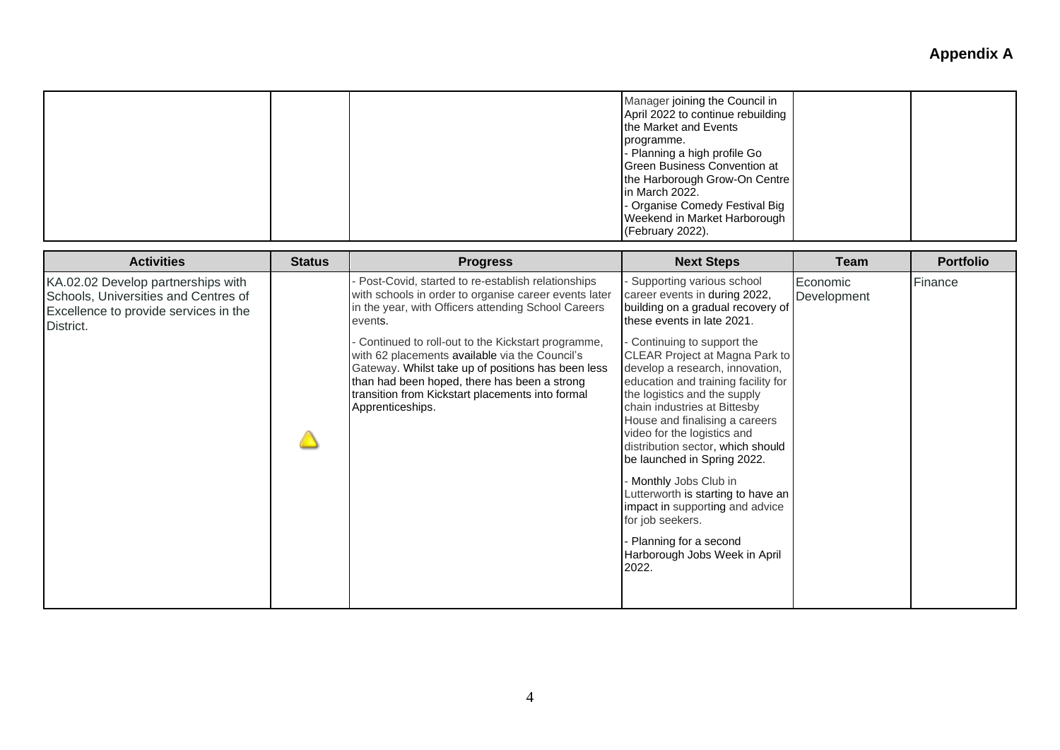|                                                                                                                                  |               |                                                                                                                                                                                                                                                                                                                                                                                                                                                                   | Manager joining the Council in<br>April 2022 to continue rebuilding<br>the Market and Events<br>programme.<br>Planning a high profile Go<br>Green Business Convention at<br>the Harborough Grow-On Centre<br>in March 2022.<br>Organise Comedy Festival Big<br>Weekend in Market Harborough<br>(February 2022).                                                                                                                                                                                                                                                                                                                                                       |                         |                  |
|----------------------------------------------------------------------------------------------------------------------------------|---------------|-------------------------------------------------------------------------------------------------------------------------------------------------------------------------------------------------------------------------------------------------------------------------------------------------------------------------------------------------------------------------------------------------------------------------------------------------------------------|-----------------------------------------------------------------------------------------------------------------------------------------------------------------------------------------------------------------------------------------------------------------------------------------------------------------------------------------------------------------------------------------------------------------------------------------------------------------------------------------------------------------------------------------------------------------------------------------------------------------------------------------------------------------------|-------------------------|------------------|
| <b>Activities</b>                                                                                                                | <b>Status</b> | <b>Progress</b>                                                                                                                                                                                                                                                                                                                                                                                                                                                   | <b>Next Steps</b>                                                                                                                                                                                                                                                                                                                                                                                                                                                                                                                                                                                                                                                     | Team                    | <b>Portfolio</b> |
| KA.02.02 Develop partnerships with<br>Schools, Universities and Centres of<br>Excellence to provide services in the<br>District. |               | Post-Covid, started to re-establish relationships<br>with schools in order to organise career events later<br>in the year, with Officers attending School Careers<br>events.<br>Continued to roll-out to the Kickstart programme,<br>with 62 placements available via the Council's<br>Gateway. Whilst take up of positions has been less<br>than had been hoped, there has been a strong<br>transition from Kickstart placements into formal<br>Apprenticeships. | Supporting various school<br>career events in during 2022,<br>building on a gradual recovery of<br>these events in late 2021.<br>- Continuing to support the<br>CLEAR Project at Magna Park to<br>develop a research, innovation,<br>education and training facility for<br>the logistics and the supply<br>chain industries at Bittesby<br>House and finalising a careers<br>video for the logistics and<br>distribution sector, which should<br>be launched in Spring 2022.<br>Monthly Jobs Club in<br>Lutterworth is starting to have an<br>impact in supporting and advice<br>for job seekers.<br>Planning for a second<br>Harborough Jobs Week in April<br>2022. | Economic<br>Development | Finance          |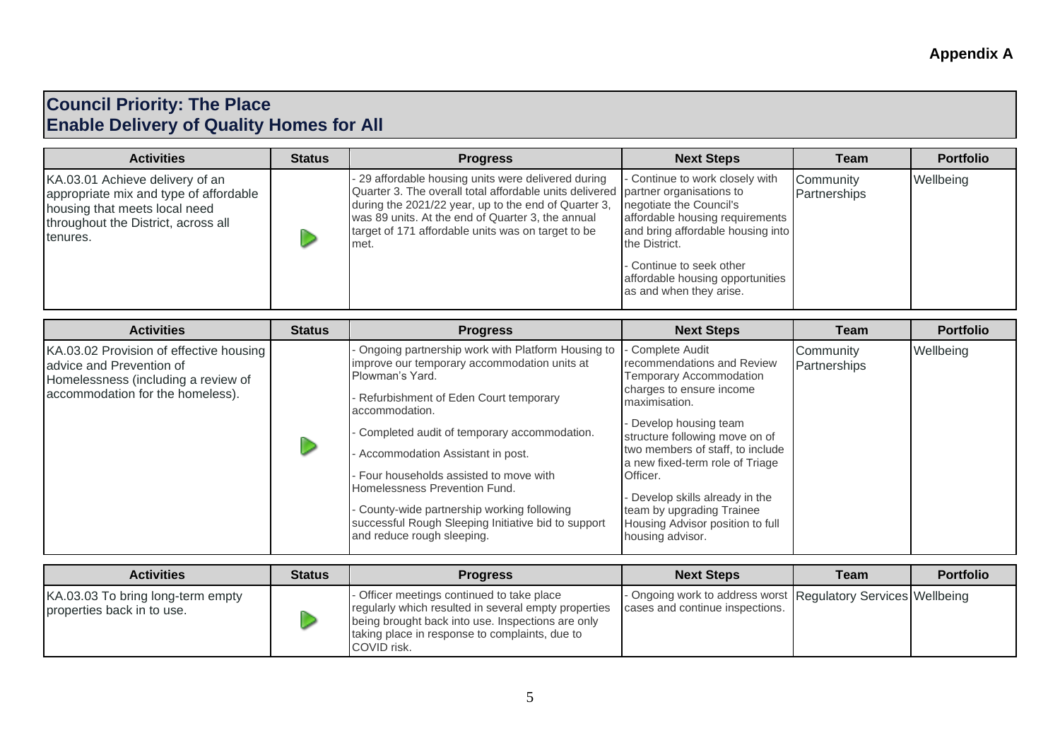### **Council Priority: The Place Enable Delivery of Quality Homes for All**

| <b>Activities</b>                                                                                                                                             | <b>Status</b> | <b>Progress</b>                                                                                                                                                                                                                                                                                                    | <b>Next Steps</b>                                                                                                                                                                                                                              | Team                      | <b>Portfolio</b> |
|---------------------------------------------------------------------------------------------------------------------------------------------------------------|---------------|--------------------------------------------------------------------------------------------------------------------------------------------------------------------------------------------------------------------------------------------------------------------------------------------------------------------|------------------------------------------------------------------------------------------------------------------------------------------------------------------------------------------------------------------------------------------------|---------------------------|------------------|
| KA.03.01 Achieve delivery of an<br>appropriate mix and type of affordable<br>housing that meets local need<br>throughout the District, across all<br>tenures. |               | - 29 affordable housing units were delivered during<br>Quarter 3. The overall total affordable units delivered partner organisations to<br>during the 2021/22 year, up to the end of Quarter 3,<br>was 89 units. At the end of Quarter 3, the annual<br>target of 171 affordable units was on target to be<br>met. | - Continue to work closely with<br>negotiate the Council's<br>affordable housing requirements<br>and bring affordable housing into<br>the District.<br>- Continue to seek other<br>affordable housing opportunities<br>as and when they arise. | Community<br>Partnerships | Wellbeing        |

| <b>Activities</b>                                                                                                                              | <b>Status</b> | <b>Progress</b>                                                                                                                                                                                                                                                                                                                                                                                                                                                                  | <b>Next Steps</b>                                                                                                                                                                                                                                                                                                                                                                       | Team                      | <b>Portfolio</b> |
|------------------------------------------------------------------------------------------------------------------------------------------------|---------------|----------------------------------------------------------------------------------------------------------------------------------------------------------------------------------------------------------------------------------------------------------------------------------------------------------------------------------------------------------------------------------------------------------------------------------------------------------------------------------|-----------------------------------------------------------------------------------------------------------------------------------------------------------------------------------------------------------------------------------------------------------------------------------------------------------------------------------------------------------------------------------------|---------------------------|------------------|
| KA.03.02 Provision of effective housing<br>advice and Prevention of<br>Homelessness (including a review of<br>accommodation for the homeless). |               | Ongoing partnership work with Platform Housing to<br>improve our temporary accommodation units at<br>Plowman's Yard.<br>Refurbishment of Eden Court temporary<br>accommodation.<br>Completed audit of temporary accommodation.<br>Accommodation Assistant in post.<br>- Four households assisted to move with<br>Homelessness Prevention Fund.<br>County-wide partnership working following<br>successful Rough Sleeping Initiative bid to support<br>and reduce rough sleeping. | Complete Audit<br>recommendations and Review<br>Temporary Accommodation<br>charges to ensure income<br>maximisation.<br>Develop housing team<br>structure following move on of<br>two members of staff, to include<br>a new fixed-term role of Triage<br>Officer.<br>Develop skills already in the<br>team by upgrading Trainee<br>Housing Advisor position to full<br>housing advisor. | Community<br>Partnerships | Wellbeing        |

| <b>Activities</b>                                               | <b>Status</b> | <b>Progress</b>                                                                                                                                                                                                        | <b>Next Steps</b>                                                                                | <b>Team</b> | <b>Portfolio</b> |
|-----------------------------------------------------------------|---------------|------------------------------------------------------------------------------------------------------------------------------------------------------------------------------------------------------------------------|--------------------------------------------------------------------------------------------------|-------------|------------------|
| KA.03.03 To bring long-term empty<br>properties back in to use. |               | Officer meetings continued to take place<br>regularly which resulted in several empty properties<br>being brought back into use. Inspections are only<br>taking place in response to complaints, due to<br>COVID risk. | - Ongoing work to address worst Regulatory Services Wellbeing<br>cases and continue inspections. |             |                  |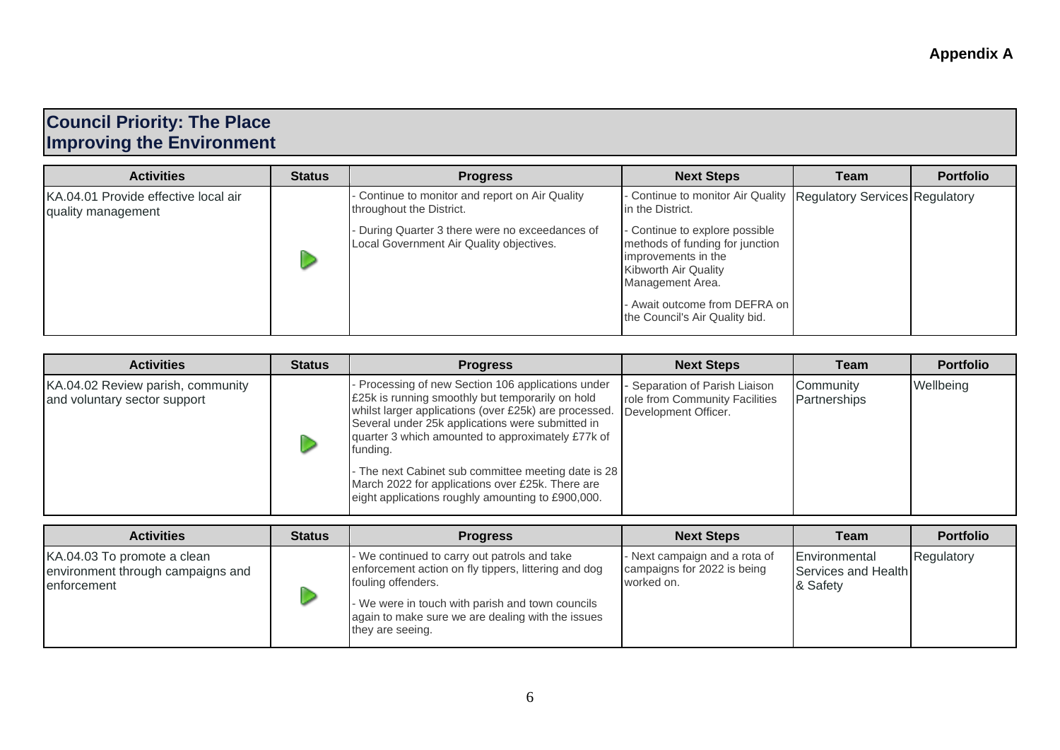### **Council Priority: The Place Improving the Environment**

| <b>Activities</b>                                          | <b>Status</b>                                                                             | <b>Progress</b>                                                                                                                      | <b>Next Steps</b>                                                                        | Team | <b>Portfolio</b> |
|------------------------------------------------------------|-------------------------------------------------------------------------------------------|--------------------------------------------------------------------------------------------------------------------------------------|------------------------------------------------------------------------------------------|------|------------------|
| KA.04.01 Provide effective local air<br>quality management |                                                                                           | Continue to monitor and report on Air Quality<br>throughout the District.                                                            | - Continue to monitor Air Quality   Regulatory Services   Regulatory<br>in the District. |      |                  |
|                                                            | During Quarter 3 there were no exceedances of<br>Local Government Air Quality objectives. | - Continue to explore possible<br>methods of funding for junction<br>improvements in the<br>Kibworth Air Quality<br>Management Area. |                                                                                          |      |                  |
|                                                            |                                                                                           | - Await outcome from DEFRA on<br>the Council's Air Quality bid.                                                                      |                                                                                          |      |                  |

| <b>Activities</b>                                                 | <b>Status</b> | <b>Progress</b>                                                                                                                                                                                                                                                                    | <b>Next Steps</b>                                                                        | Team                      | <b>Portfolio</b> |
|-------------------------------------------------------------------|---------------|------------------------------------------------------------------------------------------------------------------------------------------------------------------------------------------------------------------------------------------------------------------------------------|------------------------------------------------------------------------------------------|---------------------------|------------------|
| KA.04.02 Review parish, community<br>and voluntary sector support |               | Processing of new Section 106 applications under<br>£25k is running smoothly but temporarily on hold<br>whilst larger applications (over £25k) are processed.<br>Several under 25k applications were submitted in<br>quarter 3 which amounted to approximately £77k of<br>funding. | - Separation of Parish Liaison<br>role from Community Facilities<br>Development Officer. | Community<br>Partnerships | Wellbeing        |
|                                                                   |               | - The next Cabinet sub committee meeting date is 28<br>March 2022 for applications over £25k. There are<br>eight applications roughly amounting to £900,000.                                                                                                                       |                                                                                          |                           |                  |

| <b>Activities</b>                                                               | <b>Status</b> | <b>Progress</b>                                                                                                                                                                                                                                         | <b>Next Steps</b>                                                          | Team                                             | <b>Portfolio</b> |
|---------------------------------------------------------------------------------|---------------|---------------------------------------------------------------------------------------------------------------------------------------------------------------------------------------------------------------------------------------------------------|----------------------------------------------------------------------------|--------------------------------------------------|------------------|
| KA.04.03 To promote a clean<br>environment through campaigns and<br>enforcement |               | - We continued to carry out patrols and take<br>enforcement action on fly tippers, littering and dog<br>fouling offenders.<br>- We were in touch with parish and town councils<br>again to make sure we are dealing with the issues<br>they are seeing. | - Next campaign and a rota of<br>campaigns for 2022 is being<br>worked on. | Environmental<br>Services and Health<br>& Safety | Regulatory       |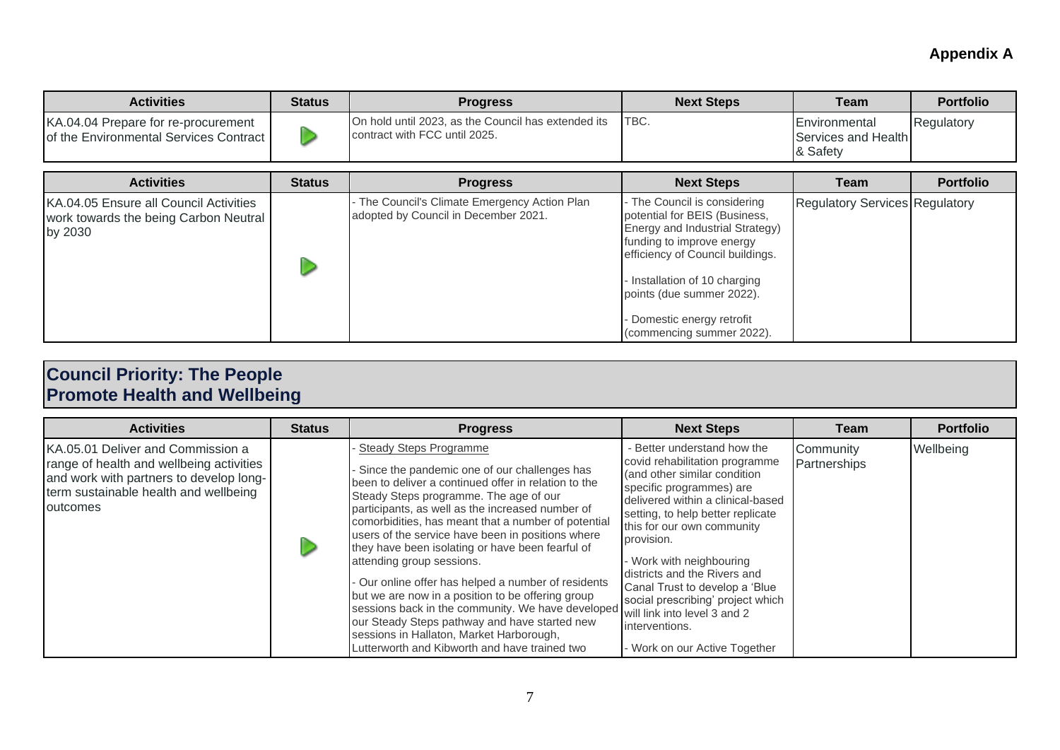| <b>Activities</b>                                                                       | <b>Status</b> | <b>Progress</b>                                                                      | <b>Next Steps</b> | Team                                                     | <b>Portfolio</b> |
|-----------------------------------------------------------------------------------------|---------------|--------------------------------------------------------------------------------------|-------------------|----------------------------------------------------------|------------------|
| KA.04.04 Prepare for re-procurement<br><b>Iof the Environmental Services Contract I</b> |               | On hold until 2023, as the Council has extended its<br>contract with FCC until 2025. | ITBC.             | <b>IEnvironmental</b><br>Services and Health<br>8 Safety | Regulatory       |

| <b>Activities</b>                                                                          | <b>Status</b> | <b>Progress</b>                                                                       | <b>Next Steps</b>                                                                                                                                                                                                                                                                        | Team                                  | <b>Portfolio</b> |
|--------------------------------------------------------------------------------------------|---------------|---------------------------------------------------------------------------------------|------------------------------------------------------------------------------------------------------------------------------------------------------------------------------------------------------------------------------------------------------------------------------------------|---------------------------------------|------------------|
| KA.04.05 Ensure all Council Activities<br>work towards the being Carbon Neutral<br>by 2030 |               | - The Council's Climate Emergency Action Plan<br>adopted by Council in December 2021. | - The Council is considering<br>potential for BEIS (Business,<br>Energy and Industrial Strategy)<br>funding to improve energy<br>efficiency of Council buildings.<br>Installation of 10 charging<br>points (due summer 2022).<br>- Domestic energy retrofit<br>(commencing summer 2022). | <b>Regulatory Services Regulatory</b> |                  |

#### **Council Priority: The People Promote Health and Wellbeing**

| <b>Activities</b>                                                                                                                                                             | <b>Status</b> | <b>Progress</b>                                                                                                                                                                                                                                                                                                                                                                                                                                                                                                                                                                                                                                                                                                                                 | <b>Next Steps</b>                                                                                                                                                                                                                                                                                                                                                                                                                                                   | Team                      | <b>Portfolio</b> |
|-------------------------------------------------------------------------------------------------------------------------------------------------------------------------------|---------------|-------------------------------------------------------------------------------------------------------------------------------------------------------------------------------------------------------------------------------------------------------------------------------------------------------------------------------------------------------------------------------------------------------------------------------------------------------------------------------------------------------------------------------------------------------------------------------------------------------------------------------------------------------------------------------------------------------------------------------------------------|---------------------------------------------------------------------------------------------------------------------------------------------------------------------------------------------------------------------------------------------------------------------------------------------------------------------------------------------------------------------------------------------------------------------------------------------------------------------|---------------------------|------------------|
| KA.05.01 Deliver and Commission a<br>range of health and wellbeing activities<br>and work with partners to develop long-<br>term sustainable health and wellbeing<br>outcomes |               | <b>Steady Steps Programme</b><br>Since the pandemic one of our challenges has<br>been to deliver a continued offer in relation to the<br>Steady Steps programme. The age of our<br>participants, as well as the increased number of<br>comorbidities, has meant that a number of potential<br>users of the service have been in positions where<br>they have been isolating or have been fearful of<br>attending group sessions.<br>- Our online offer has helped a number of residents<br>but we are now in a position to be offering group<br>sessions back in the community. We have developed<br>our Steady Steps pathway and have started new<br>sessions in Hallaton, Market Harborough,<br>Lutterworth and Kibworth and have trained two | - Better understand how the<br>covid rehabilitation programme<br>(and other similar condition<br>specific programmes) are<br>delivered within a clinical-based<br>setting, to help better replicate<br>this for our own community<br>provision.<br>Work with neighbouring<br>districts and the Rivers and<br>Canal Trust to develop a 'Blue<br>social prescribing' project which<br>will link into level 3 and 2<br>interventions.<br>- Work on our Active Together | Community<br>Partnerships | Wellbeing        |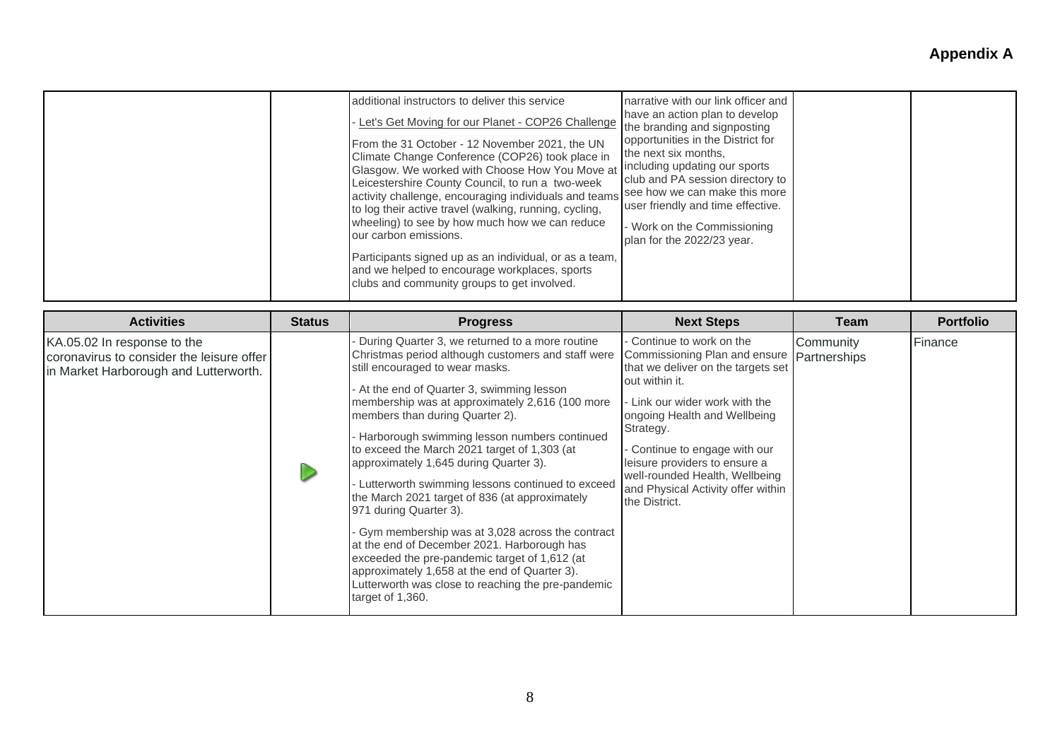| additional instructors to deliver this service<br>Let's Get Moving for our Planet - COP26 Challenge<br>From the 31 October - 12 November 2021, the UN<br>Climate Change Conference (COP26) took place in<br>Glasgow. We worked with Choose How You Move at<br>Leicestershire County Council, to run a two-week<br>activity challenge, encouraging individuals and teams<br>to log their active travel (walking, running, cycling,<br>wheeling) to see by how much how we can reduce<br>our carbon emissions.<br>Participants signed up as an individual, or as a team,<br>and we helped to encourage workplaces, sports<br>clubs and community groups to get involved. | narrative with our link officer and<br>have an action plan to develop<br>the branding and signposting<br>opportunities in the District for<br>the next six months,<br>including updating our sports<br>club and PA session directory to<br>see how we can make this more<br>user friendly and time effective.<br>- Work on the Commissioning<br>plan for the 2022/23 year. |
|------------------------------------------------------------------------------------------------------------------------------------------------------------------------------------------------------------------------------------------------------------------------------------------------------------------------------------------------------------------------------------------------------------------------------------------------------------------------------------------------------------------------------------------------------------------------------------------------------------------------------------------------------------------------|----------------------------------------------------------------------------------------------------------------------------------------------------------------------------------------------------------------------------------------------------------------------------------------------------------------------------------------------------------------------------|
|------------------------------------------------------------------------------------------------------------------------------------------------------------------------------------------------------------------------------------------------------------------------------------------------------------------------------------------------------------------------------------------------------------------------------------------------------------------------------------------------------------------------------------------------------------------------------------------------------------------------------------------------------------------------|----------------------------------------------------------------------------------------------------------------------------------------------------------------------------------------------------------------------------------------------------------------------------------------------------------------------------------------------------------------------------|

| <b>Activities</b>                                                                                                 | <b>Status</b> | <b>Progress</b>                                                                                                                                                                                                                                                                                                                                                                                                                                                                                                                                                                                                                                                                                                                                                                                                                    | <b>Next Steps</b>                                                                                                                                                                                                                                                                                                                                      | Team                      | <b>Portfolio</b> |
|-------------------------------------------------------------------------------------------------------------------|---------------|------------------------------------------------------------------------------------------------------------------------------------------------------------------------------------------------------------------------------------------------------------------------------------------------------------------------------------------------------------------------------------------------------------------------------------------------------------------------------------------------------------------------------------------------------------------------------------------------------------------------------------------------------------------------------------------------------------------------------------------------------------------------------------------------------------------------------------|--------------------------------------------------------------------------------------------------------------------------------------------------------------------------------------------------------------------------------------------------------------------------------------------------------------------------------------------------------|---------------------------|------------------|
| KA.05.02 In response to the<br>coronavirus to consider the leisure offer<br>in Market Harborough and Lutterworth. |               | During Quarter 3, we returned to a more routine<br>Christmas period although customers and staff were<br>still encouraged to wear masks.<br>At the end of Quarter 3, swimming lesson<br>membership was at approximately 2,616 (100 more<br>members than during Quarter 2).<br>Harborough swimming lesson numbers continued<br>to exceed the March 2021 target of 1,303 (at<br>approximately 1,645 during Quarter 3).<br>Lutterworth swimming lessons continued to exceed<br>the March 2021 target of 836 (at approximately<br>971 during Quarter 3).<br>Gym membership was at 3,028 across the contract<br>at the end of December 2021. Harborough has<br>exceeded the pre-pandemic target of 1,612 (at<br>approximately 1,658 at the end of Quarter 3).<br>Lutterworth was close to reaching the pre-pandemic<br>target of 1,360. | Continue to work on the<br>Commissioning Plan and ensure<br>that we deliver on the targets set<br>out within it.<br>Link our wider work with the<br>ongoing Health and Wellbeing<br>Strategy.<br>Continue to engage with our<br>leisure providers to ensure a<br>well-rounded Health, Wellbeing<br>and Physical Activity offer within<br>the District. | Community<br>Partnerships | Finance          |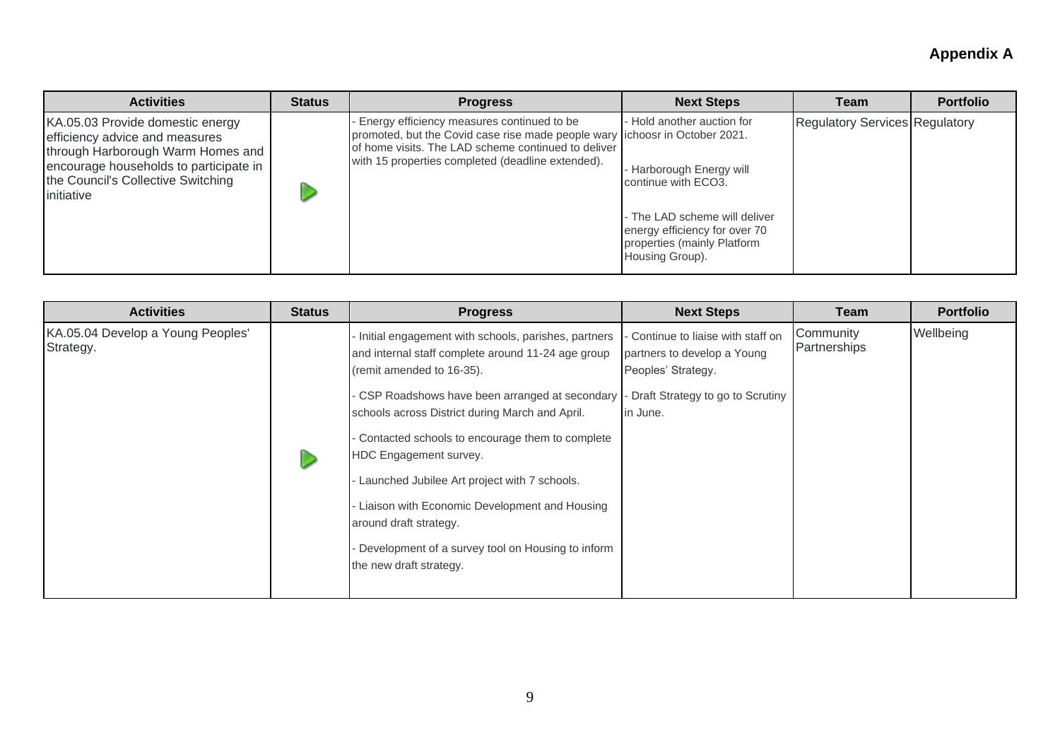| <b>Activities</b>                                                                                                                                                                                     | <b>Status</b> | <b>Progress</b>                                                                                                                                                                                                                        | <b>Next Steps</b>                                                                                                                                                                                    | Team                                  | <b>Portfolio</b> |
|-------------------------------------------------------------------------------------------------------------------------------------------------------------------------------------------------------|---------------|----------------------------------------------------------------------------------------------------------------------------------------------------------------------------------------------------------------------------------------|------------------------------------------------------------------------------------------------------------------------------------------------------------------------------------------------------|---------------------------------------|------------------|
| KA.05.03 Provide domestic energy<br>efficiency advice and measures<br>through Harborough Warm Homes and<br>encourage households to participate in<br>the Council's Collective Switching<br>initiative |               | Energy efficiency measures continued to be<br>promoted, but the Covid case rise made people wary lichoosr in October 2021.<br>of home visits. The LAD scheme continued to deliver<br>with 15 properties completed (deadline extended). | Hold another auction for<br><b>Harborough Energy will</b><br>continue with ECO3.<br>- The LAD scheme will deliver<br>energy efficiency for over 70<br>properties (mainly Platform<br>Housing Group). | <b>Regulatory Services Regulatory</b> |                  |

| <b>Activities</b>                              | <b>Status</b> | <b>Progress</b>                                                                                                                                                                                                                                                                                                                                                                                                                                                                                                                    | <b>Next Steps</b>                                                                                                                     | Team                      | <b>Portfolio</b> |
|------------------------------------------------|---------------|------------------------------------------------------------------------------------------------------------------------------------------------------------------------------------------------------------------------------------------------------------------------------------------------------------------------------------------------------------------------------------------------------------------------------------------------------------------------------------------------------------------------------------|---------------------------------------------------------------------------------------------------------------------------------------|---------------------------|------------------|
| KA.05.04 Develop a Young Peoples'<br>Strategy. |               | Initial engagement with schools, parishes, partners<br>and internal staff complete around 11-24 age group<br>(remit amended to 16-35).<br>CSP Roadshows have been arranged at secondary<br>schools across District during March and April.<br>Contacted schools to encourage them to complete<br>HDC Engagement survey.<br>Launched Jubilee Art project with 7 schools.<br>Liaison with Economic Development and Housing<br>around draft strategy.<br>Development of a survey tool on Housing to inform<br>the new draft strategy. | Continue to liaise with staff on<br>partners to develop a Young<br>Peoples' Strategy.<br>Draft Strategy to go to Scrutiny<br>in June. | Community<br>Partnerships | Wellbeing        |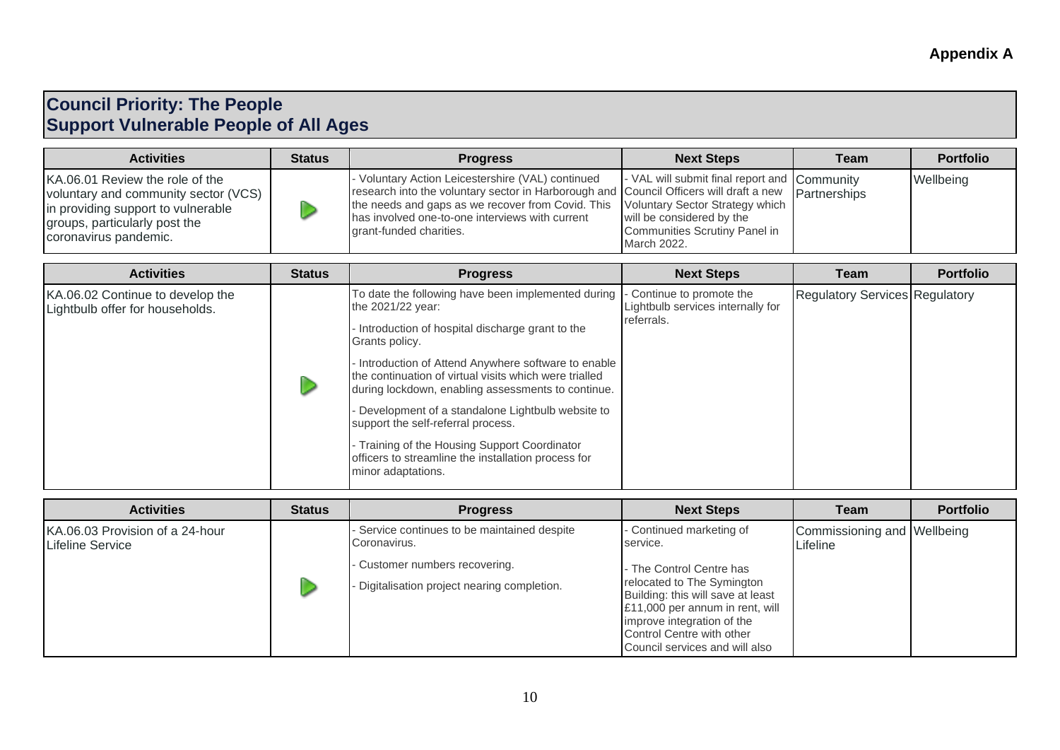### **Council Priority: The People Support Vulnerable People of All Ages**

| <b>Activities</b>                                                                                                                                                       | <b>Status</b> | <b>Progress</b>                                                                                                                                                                                                                                                                                                           | <b>Next Steps</b>                                                                                                         | Team | <b>Portfolio</b> |
|-------------------------------------------------------------------------------------------------------------------------------------------------------------------------|---------------|---------------------------------------------------------------------------------------------------------------------------------------------------------------------------------------------------------------------------------------------------------------------------------------------------------------------------|---------------------------------------------------------------------------------------------------------------------------|------|------------------|
| KA.06.01 Review the role of the<br>voluntary and community sector (VCS)<br>in providing support to vulnerable<br>groups, particularly post the<br>coronavirus pandemic. |               | Voluntary Action Leicestershire (VAL) continued<br>research into the voluntary sector in Harborough and Council Officers will draft a new Partnerships<br>the needs and gaps as we recover from Covid. This Voluntary Sector Strategy which<br>has involved one-to-one interviews with current<br>grant-funded charities. | - VAL will submit final report and Community<br>will be considered by the<br>Communities Scrutiny Panel in<br>March 2022. |      | Wellbeing        |

| <b>Activities</b>                                                   | <b>Status</b>                                                                          | <b>Progress</b>                                                                                                                                                    | <b>Next Steps</b>                                              | Team                                  | <b>Portfolio</b> |
|---------------------------------------------------------------------|----------------------------------------------------------------------------------------|--------------------------------------------------------------------------------------------------------------------------------------------------------------------|----------------------------------------------------------------|---------------------------------------|------------------|
| KA.06.02 Continue to develop the<br>Lightbulb offer for households. |                                                                                        | To date the following have been implemented during<br>the 2021/22 year:                                                                                            | - Continue to promote the<br>Lightbulb services internally for | <b>Regulatory Services Regulatory</b> |                  |
|                                                                     |                                                                                        | Introduction of hospital discharge grant to the<br>Grants policy.                                                                                                  | referrals.                                                     |                                       |                  |
|                                                                     |                                                                                        | Introduction of Attend Anywhere software to enable<br>the continuation of virtual visits which were trialled<br>during lockdown, enabling assessments to continue. |                                                                |                                       |                  |
|                                                                     | Development of a standalone Lightbulb website to<br>support the self-referral process. |                                                                                                                                                                    |                                                                |                                       |                  |
|                                                                     |                                                                                        | Training of the Housing Support Coordinator<br>officers to streamline the installation process for<br>minor adaptations.                                           |                                                                |                                       |                  |

| <b>Activities</b>                                          | <b>Status</b> | <b>Progress</b>                                                                                                                            | <b>Next Steps</b>                                                                                                                                                                                                                                                   | <b>Team</b>                             | <b>Portfolio</b> |
|------------------------------------------------------------|---------------|--------------------------------------------------------------------------------------------------------------------------------------------|---------------------------------------------------------------------------------------------------------------------------------------------------------------------------------------------------------------------------------------------------------------------|-----------------------------------------|------------------|
| KA.06.03 Provision of a 24-hour<br><b>Lifeline Service</b> |               | Service continues to be maintained despite<br>Coronavirus.<br>- Customer numbers recovering.<br>Digitalisation project nearing completion. | - Continued marketing of<br>service.<br>- The Control Centre has<br>relocated to The Symington<br>Building: this will save at least<br>£11,000 per annum in rent, will<br>improve integration of the<br>Control Centre with other<br>Council services and will also | Commissioning and Wellbeing<br>Lifeline |                  |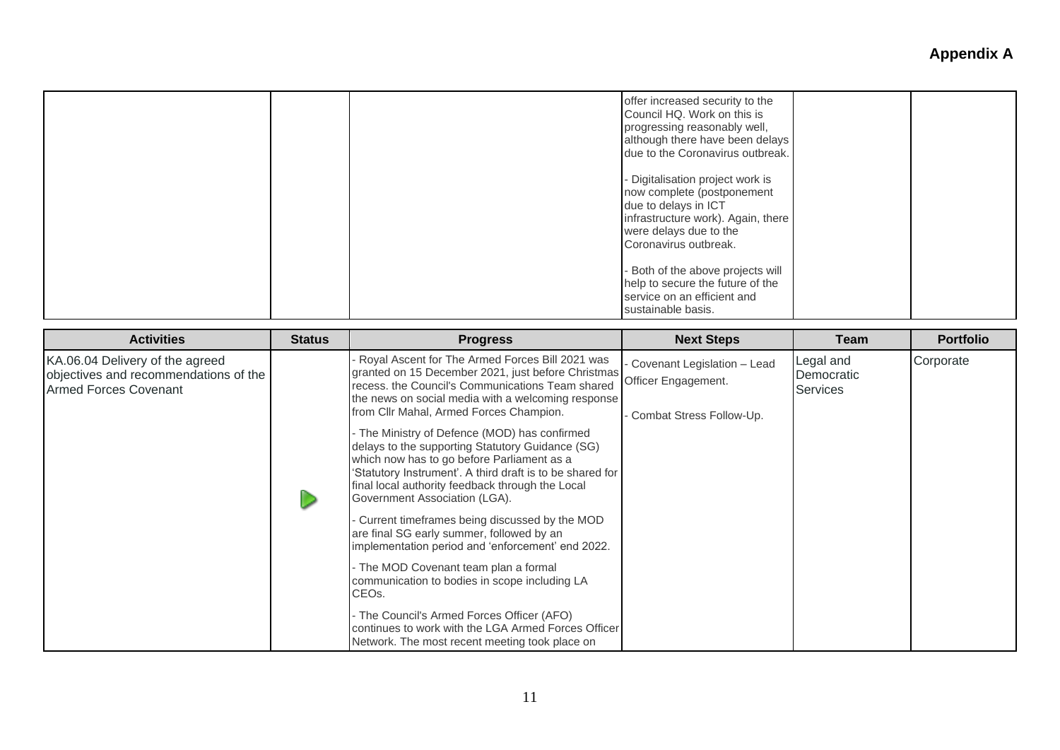| offer increased security to the<br>Council HQ. Work on this is<br>progressing reasonably well,<br>although there have been delays<br>due to the Coronavirus outbreak.           |  |
|---------------------------------------------------------------------------------------------------------------------------------------------------------------------------------|--|
| - Digitalisation project work is<br>now complete (postponement<br>due to delays in ICT<br>infrastructure work). Again, there<br>were delays due to the<br>Coronavirus outbreak. |  |
| Both of the above projects will<br>help to secure the future of the<br>service on an efficient and<br>sustainable basis.                                                        |  |

| <b>Activities</b>                                                                                        | <b>Status</b> | <b>Progress</b>                                                                                                                                                                                                                                                                                                                                                                                                                                                                                                                                                                                                                                                                                                                                                                                                                                                                                                                                                                           | <b>Next Steps</b>                                                              | Team                                       | <b>Portfolio</b> |
|----------------------------------------------------------------------------------------------------------|---------------|-------------------------------------------------------------------------------------------------------------------------------------------------------------------------------------------------------------------------------------------------------------------------------------------------------------------------------------------------------------------------------------------------------------------------------------------------------------------------------------------------------------------------------------------------------------------------------------------------------------------------------------------------------------------------------------------------------------------------------------------------------------------------------------------------------------------------------------------------------------------------------------------------------------------------------------------------------------------------------------------|--------------------------------------------------------------------------------|--------------------------------------------|------------------|
| KA.06.04 Delivery of the agreed<br>objectives and recommendations of the<br><b>Armed Forces Covenant</b> |               | Royal Ascent for The Armed Forces Bill 2021 was<br>granted on 15 December 2021, just before Christmas<br>recess, the Council's Communications Team shared<br>the news on social media with a welcoming response<br>from Cllr Mahal, Armed Forces Champion.<br>- The Ministry of Defence (MOD) has confirmed<br>delays to the supporting Statutory Guidance (SG)<br>which now has to go before Parliament as a<br>'Statutory Instrument'. A third draft is to be shared for<br>final local authority feedback through the Local<br>Government Association (LGA).<br>Current timeframes being discussed by the MOD<br>are final SG early summer, followed by an<br>implementation period and 'enforcement' end 2022.<br>- The MOD Covenant team plan a formal<br>communication to bodies in scope including LA<br>CEO <sub>s</sub> .<br>- The Council's Armed Forces Officer (AFO)<br>continues to work with the LGA Armed Forces Officer<br>Network. The most recent meeting took place on | Covenant Legislation - Lead<br>Officer Engagement.<br>Combat Stress Follow-Up. | Legal and<br>Democratic<br><b>Services</b> | Corporate        |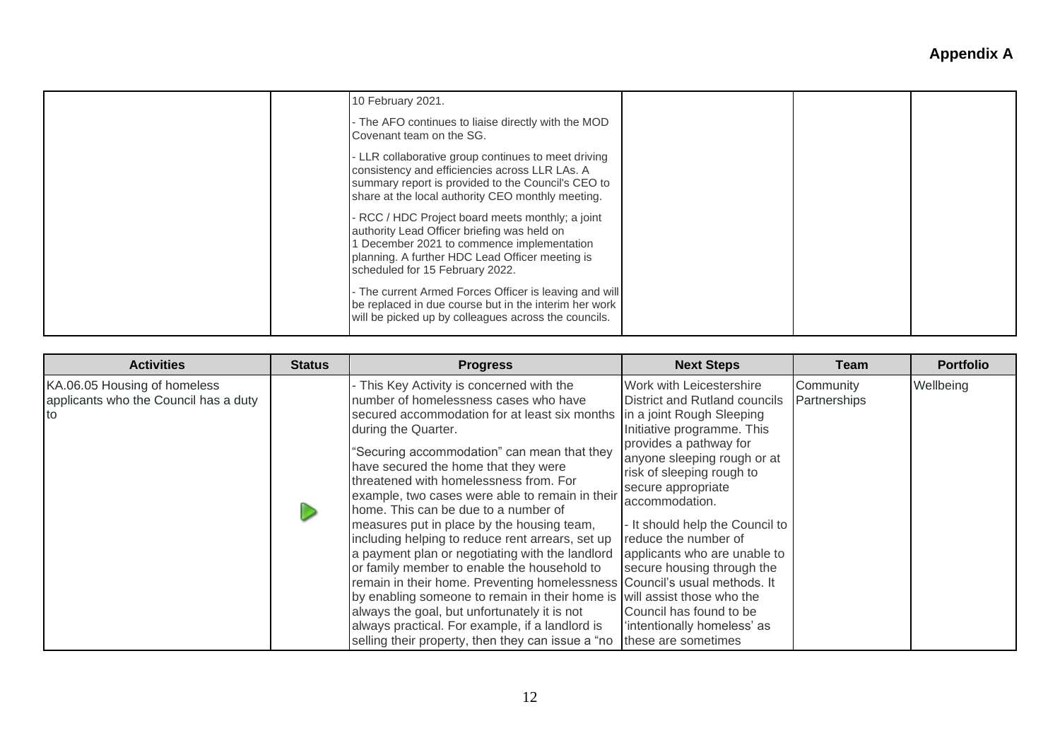| 10 February 2021.                                                                                                                                                                                                                   |  |
|-------------------------------------------------------------------------------------------------------------------------------------------------------------------------------------------------------------------------------------|--|
| - The AFO continues to liaise directly with the MOD<br>Covenant team on the SG.                                                                                                                                                     |  |
| - LLR collaborative group continues to meet driving<br>consistency and efficiencies across LLR LAs. A<br>summary report is provided to the Council's CEO to<br>share at the local authority CEO monthly meeting.                    |  |
| - RCC / HDC Project board meets monthly; a joint<br>authority Lead Officer briefing was held on<br>1 December 2021 to commence implementation<br>planning. A further HDC Lead Officer meeting is<br>scheduled for 15 February 2022. |  |
| - The current Armed Forces Officer is leaving and will<br>be replaced in due course but in the interim her work<br>will be picked up by colleagues across the councils.                                                             |  |

| <b>Activities</b>                                                            | <b>Status</b> | <b>Progress</b>                                                                                                                                                                                                                                                                                                                                                                                                                                                                                                                                                                                                                                                                                                                                                                                                                                                                                             | <b>Next Steps</b>                                                                                                                                                                                                                                                                                                                                                                                                                                            | Team                      | <b>Portfolio</b> |
|------------------------------------------------------------------------------|---------------|-------------------------------------------------------------------------------------------------------------------------------------------------------------------------------------------------------------------------------------------------------------------------------------------------------------------------------------------------------------------------------------------------------------------------------------------------------------------------------------------------------------------------------------------------------------------------------------------------------------------------------------------------------------------------------------------------------------------------------------------------------------------------------------------------------------------------------------------------------------------------------------------------------------|--------------------------------------------------------------------------------------------------------------------------------------------------------------------------------------------------------------------------------------------------------------------------------------------------------------------------------------------------------------------------------------------------------------------------------------------------------------|---------------------------|------------------|
| KA.06.05 Housing of homeless<br>applicants who the Council has a duty<br>Ito |               | - This Key Activity is concerned with the<br>number of homelessness cases who have<br>secured accommodation for at least six months<br>during the Quarter.<br>"Securing accommodation" can mean that they<br>have secured the home that they were<br>threatened with homelessness from. For<br>example, two cases were able to remain in their<br>home. This can be due to a number of<br>measures put in place by the housing team,<br>including helping to reduce rent arrears, set up<br>a payment plan or negotiating with the landlord<br>or family member to enable the household to<br>remain in their home. Preventing homelessness Council's usual methods. It<br>by enabling someone to remain in their home is will assist those who the<br>always the goal, but unfortunately it is not<br>always practical. For example, if a landlord is<br>selling their property, then they can issue a "no | Work with Leicestershire<br>District and Rutland councils<br>in a joint Rough Sleeping<br>Initiative programme. This<br>provides a pathway for<br>anyone sleeping rough or at<br>risk of sleeping rough to<br>secure appropriate<br>accommodation.<br>- It should help the Council to<br>reduce the number of<br>applicants who are unable to<br>secure housing through the<br>Council has found to be<br>'intentionally homeless' as<br>these are sometimes | Community<br>Partnerships | Wellbeing        |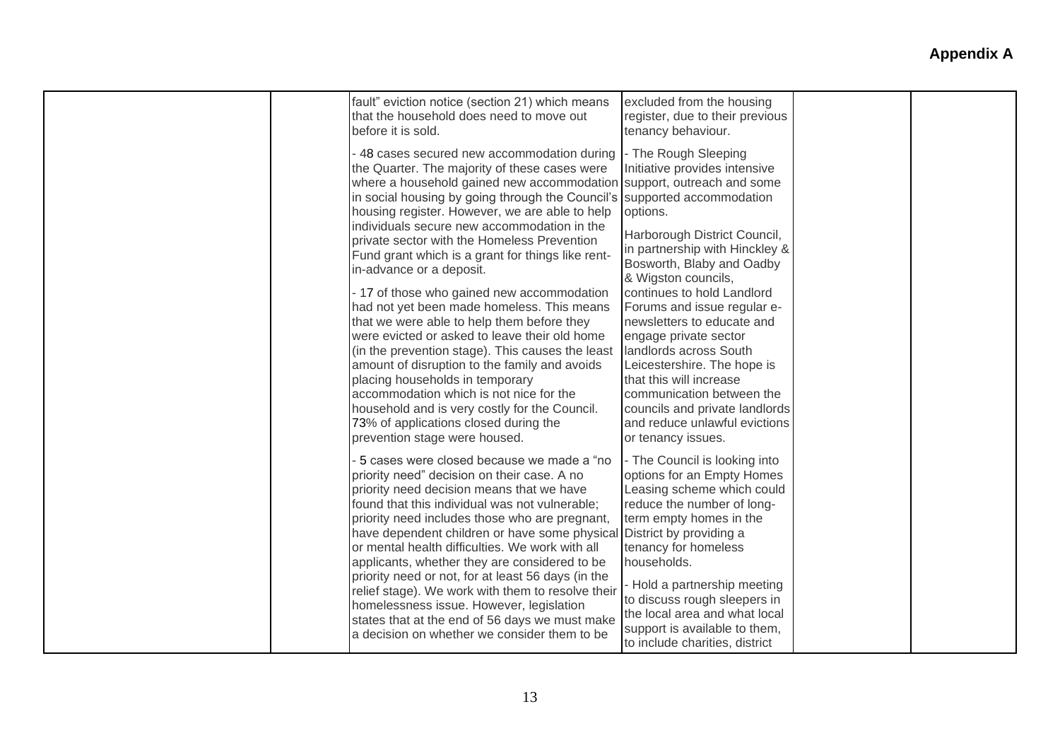| fault" eviction notice (section 21) which means<br>that the household does need to move out<br>before it is sold.                                                                                                                                                                                                                                                                                                                                                                                                                                                                                                                                       | excluded from the housing<br>register, due to their previous<br>tenancy behaviour.                                                                                                                                                                                                                                                                                                       |  |
|---------------------------------------------------------------------------------------------------------------------------------------------------------------------------------------------------------------------------------------------------------------------------------------------------------------------------------------------------------------------------------------------------------------------------------------------------------------------------------------------------------------------------------------------------------------------------------------------------------------------------------------------------------|------------------------------------------------------------------------------------------------------------------------------------------------------------------------------------------------------------------------------------------------------------------------------------------------------------------------------------------------------------------------------------------|--|
| - 48 cases secured new accommodation during<br>the Quarter. The majority of these cases were<br>where a household gained new accommodation<br>in social housing by going through the Council's<br>housing register. However, we are able to help<br>individuals secure new accommodation in the<br>private sector with the Homeless Prevention<br>Fund grant which is a grant for things like rent-<br>in-advance or a deposit.<br>- 17 of those who gained new accommodation                                                                                                                                                                           | - The Rough Sleeping<br>Initiative provides intensive<br>support, outreach and some<br>supported accommodation<br>options.<br>Harborough District Council,<br>in partnership with Hinckley &<br>Bosworth, Blaby and Oadby<br>& Wigston councils,<br>continues to hold Landlord                                                                                                           |  |
| had not yet been made homeless. This means<br>that we were able to help them before they<br>were evicted or asked to leave their old home<br>(in the prevention stage). This causes the least<br>amount of disruption to the family and avoids<br>placing households in temporary<br>accommodation which is not nice for the<br>household and is very costly for the Council.<br>73% of applications closed during the<br>prevention stage were housed.                                                                                                                                                                                                 | Forums and issue regular e-<br>newsletters to educate and<br>engage private sector<br>landlords across South<br>Leicestershire. The hope is<br>that this will increase<br>communication between the<br>councils and private landlords<br>and reduce unlawful evictions<br>or tenancy issues.                                                                                             |  |
| 5 cases were closed because we made a "no<br>priority need" decision on their case. A no<br>priority need decision means that we have<br>found that this individual was not vulnerable;<br>priority need includes those who are pregnant,<br>have dependent children or have some physical<br>or mental health difficulties. We work with all<br>applicants, whether they are considered to be<br>priority need or not, for at least 56 days (in the<br>relief stage). We work with them to resolve their<br>homelessness issue. However, legislation<br>states that at the end of 56 days we must make<br>a decision on whether we consider them to be | - The Council is looking into<br>options for an Empty Homes<br>Leasing scheme which could<br>reduce the number of long-<br>term empty homes in the<br>District by providing a<br>tenancy for homeless<br>households.<br>- Hold a partnership meeting<br>to discuss rough sleepers in<br>the local area and what local<br>support is available to them,<br>to include charities, district |  |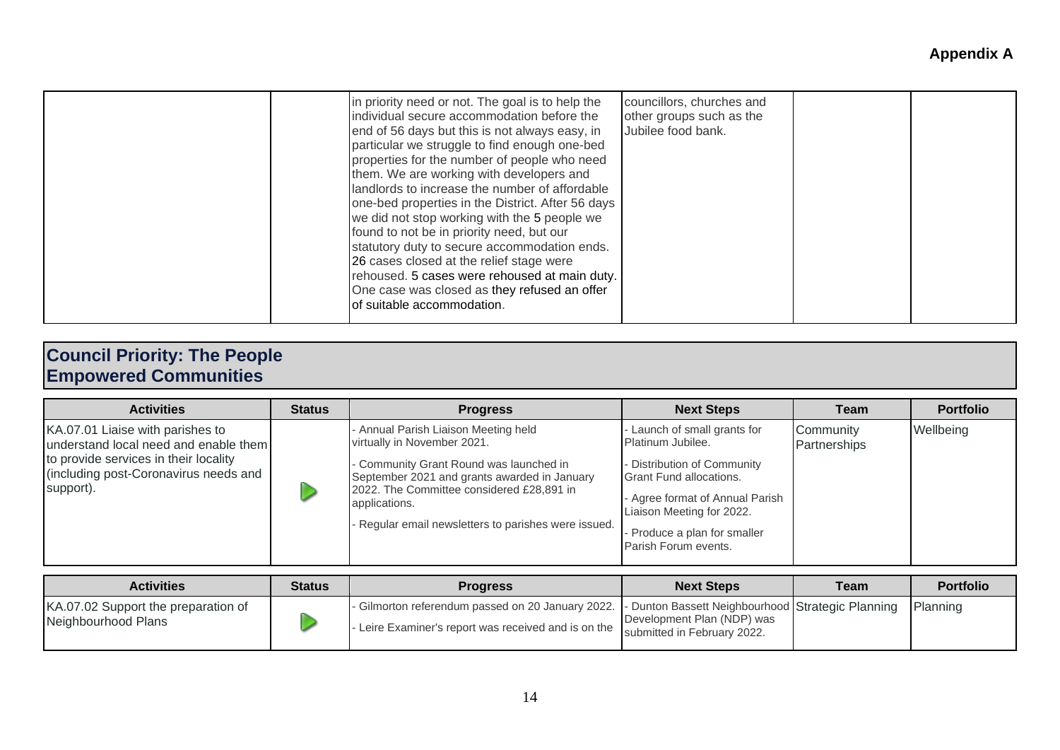|  | in priority need or not. The goal is to help the<br>individual secure accommodation before the<br>end of 56 days but this is not always easy, in<br>particular we struggle to find enough one-bed<br>properties for the number of people who need<br>them. We are working with developers and<br>landlords to increase the number of affordable<br>one-bed properties in the District. After 56 days<br>we did not stop working with the 5 people we<br>found to not be in priority need, but our<br>statutory duty to secure accommodation ends.<br>26 cases closed at the relief stage were<br>rehoused. 5 cases were rehoused at main duty.<br>One case was closed as they refused an offer<br>of suitable accommodation. | councillors, churches and<br>other groups such as the<br>Jubilee food bank. |  |  |
|--|------------------------------------------------------------------------------------------------------------------------------------------------------------------------------------------------------------------------------------------------------------------------------------------------------------------------------------------------------------------------------------------------------------------------------------------------------------------------------------------------------------------------------------------------------------------------------------------------------------------------------------------------------------------------------------------------------------------------------|-----------------------------------------------------------------------------|--|--|
|--|------------------------------------------------------------------------------------------------------------------------------------------------------------------------------------------------------------------------------------------------------------------------------------------------------------------------------------------------------------------------------------------------------------------------------------------------------------------------------------------------------------------------------------------------------------------------------------------------------------------------------------------------------------------------------------------------------------------------------|-----------------------------------------------------------------------------|--|--|

### **Council Priority: The People Empowered Communities**

| <b>Activities</b>                                                                                                                                                        | <b>Status</b> | <b>Progress</b>                                                                                                                                                                                                                                                                  | <b>Next Steps</b>                                                                                                                                                                                                                        | Team                      | <b>Portfolio</b> |
|--------------------------------------------------------------------------------------------------------------------------------------------------------------------------|---------------|----------------------------------------------------------------------------------------------------------------------------------------------------------------------------------------------------------------------------------------------------------------------------------|------------------------------------------------------------------------------------------------------------------------------------------------------------------------------------------------------------------------------------------|---------------------------|------------------|
| KA.07.01 Liaise with parishes to<br>understand local need and enable them<br>to provide services in their locality<br>(including post-Coronavirus needs and<br>support). |               | Annual Parish Liaison Meeting held<br>virtually in November 2021.<br>Community Grant Round was launched in<br>September 2021 and grants awarded in January<br>2022. The Committee considered £28,891 in<br>applications.<br>- Regular email newsletters to parishes were issued. | Launch of small grants for<br>Platinum Jubilee.<br>- Distribution of Community<br><b>Grant Fund allocations.</b><br>- Agree format of Annual Parish<br>Liaison Meeting for 2022.<br>- Produce a plan for smaller<br>Parish Forum events. | Community<br>Partnerships | Wellbeing        |

| <b>Activities</b>                                          | <b>Status</b> | <b>Progress</b>                                                                                                                                                                         | <b>Next Steps</b>          | Team | <b>Portfolio</b> |
|------------------------------------------------------------|---------------|-----------------------------------------------------------------------------------------------------------------------------------------------------------------------------------------|----------------------------|------|------------------|
| KA.07.02 Support the preparation of<br>Neighbourhood Plans |               | - Gilmorton referendum passed on 20 January 2022. - Dunton Bassett Neighbourhood Strategic Planning<br>- Leire Examiner's report was received and is on the submitted in February 2022. | Development Plan (NDP) was |      | Planning         |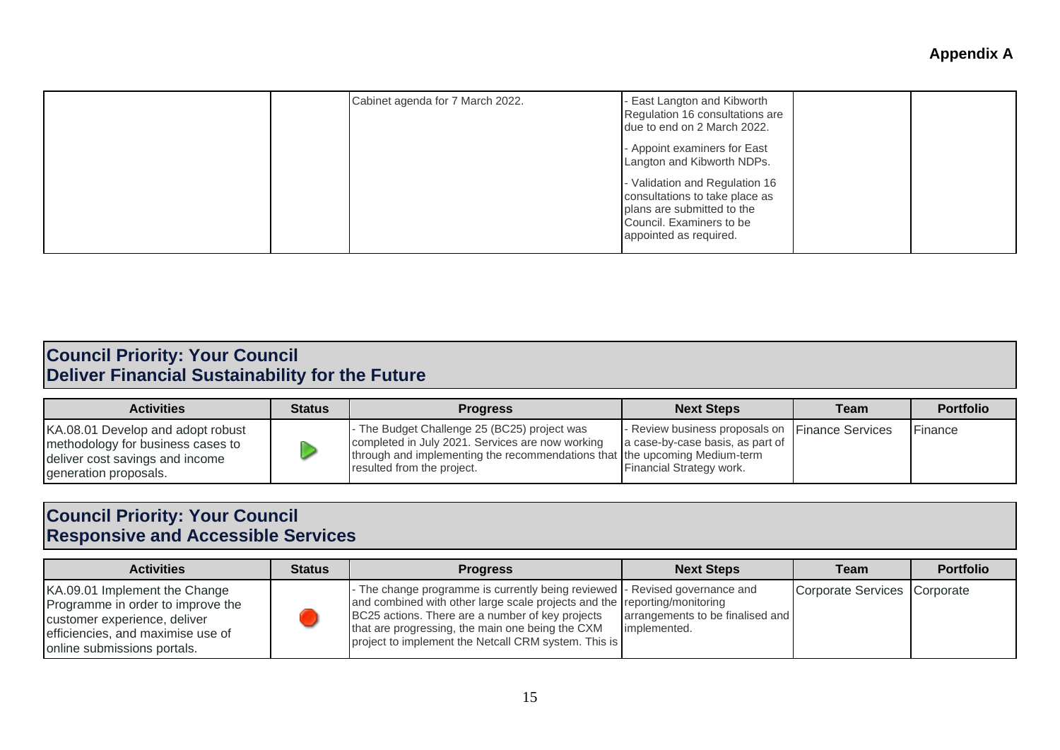|  | Cabinet agenda for 7 March 2022. | - East Langton and Kibworth<br>Regulation 16 consultations are<br>due to end on 2 March 2022.<br>- Appoint examiners for East<br>Langton and Kibworth NDPs.<br>- Validation and Regulation 16<br>consultations to take place as<br>plans are submitted to the<br>Council. Examiners to be<br>appointed as required. |  |  |
|--|----------------------------------|---------------------------------------------------------------------------------------------------------------------------------------------------------------------------------------------------------------------------------------------------------------------------------------------------------------------|--|--|
|--|----------------------------------|---------------------------------------------------------------------------------------------------------------------------------------------------------------------------------------------------------------------------------------------------------------------------------------------------------------------|--|--|

#### **Council Priority: Your Council Deliver Financial Sustainability for the Future**

| <b>Activities</b>                                                                                                                  | <b>Status</b> | <b>Progress</b>                                                                                                                                                                                            | <b>Next Steps</b>                                                                                               | Team | <b>Portfolio</b> |
|------------------------------------------------------------------------------------------------------------------------------------|---------------|------------------------------------------------------------------------------------------------------------------------------------------------------------------------------------------------------------|-----------------------------------------------------------------------------------------------------------------|------|------------------|
| KA.08.01 Develop and adopt robust<br>methodology for business cases to<br>deliver cost savings and income<br>generation proposals. |               | The Budget Challenge 25 (BC25) project was<br>completed in July 2021. Services are now working<br>through and implementing the recommendations that the upcoming Medium-term<br>resulted from the project. | - Review business proposals on Finance Services<br>a case-by-case basis, as part of<br>Financial Strategy work. |      | Finance          |

### **Council Priority: Your Council Responsive and Accessible Services**

| <b>Activities</b>                                                                                                                                                      | <b>Status</b> | <b>Progress</b>                                                                                                                                                                                                                                                                                                           | <b>Next Steps</b>                                | Team                         | <b>Portfolio</b> |
|------------------------------------------------------------------------------------------------------------------------------------------------------------------------|---------------|---------------------------------------------------------------------------------------------------------------------------------------------------------------------------------------------------------------------------------------------------------------------------------------------------------------------------|--------------------------------------------------|------------------------------|------------------|
| KA.09.01 Implement the Change<br>Programme in order to improve the<br>customer experience, deliver<br>efficiencies, and maximise use of<br>online submissions portals. |               | - The change programme is currently being reviewed  - Revised governance and<br>and combined with other large scale projects and the reporting/monitoring<br>BC25 actions. There are a number of key projects<br>that are progressing, the main one being the CXM<br>project to implement the Netcall CRM system. This is | arrangements to be finalised and<br>implemented. | Corporate Services Corporate |                  |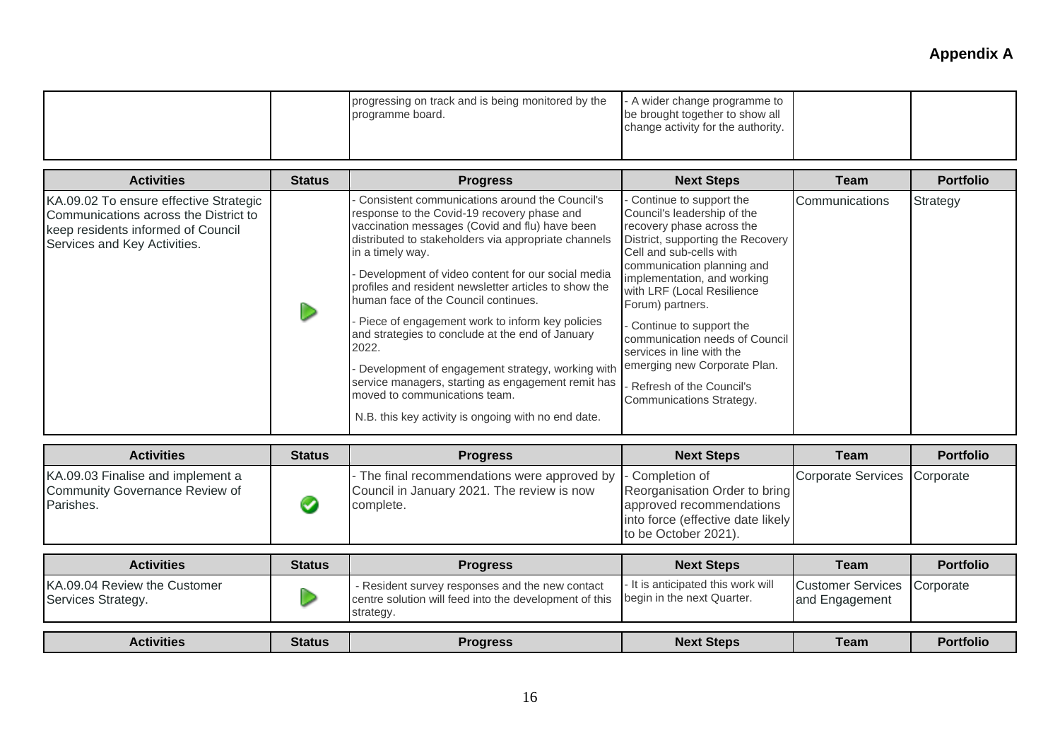|  | progressing on track and is being monitored by the<br>programme board. | - A wider change programme to<br>be brought together to show all<br>change activity for the authority. |  |  |
|--|------------------------------------------------------------------------|--------------------------------------------------------------------------------------------------------|--|--|
|--|------------------------------------------------------------------------|--------------------------------------------------------------------------------------------------------|--|--|

| <b>Activities</b>                                                                                                                                     | <b>Status</b> | <b>Progress</b>                                                                                                                                                                                                                                                                                                                                                                                                                                                                                                                                                                                                                                                                                         | <b>Next Steps</b>                                                                                                                                                                                                                                                                                                                                                                                                                                            | <b>Team</b>    | <b>Portfolio</b> |
|-------------------------------------------------------------------------------------------------------------------------------------------------------|---------------|---------------------------------------------------------------------------------------------------------------------------------------------------------------------------------------------------------------------------------------------------------------------------------------------------------------------------------------------------------------------------------------------------------------------------------------------------------------------------------------------------------------------------------------------------------------------------------------------------------------------------------------------------------------------------------------------------------|--------------------------------------------------------------------------------------------------------------------------------------------------------------------------------------------------------------------------------------------------------------------------------------------------------------------------------------------------------------------------------------------------------------------------------------------------------------|----------------|------------------|
| KA.09.02 To ensure effective Strategic<br>Communications across the District to<br>keep residents informed of Council<br>Services and Key Activities. |               | Consistent communications around the Council's<br>response to the Covid-19 recovery phase and<br>vaccination messages (Covid and flu) have been<br>distributed to stakeholders via appropriate channels<br>in a timely way.<br>Development of video content for our social media<br>profiles and resident newsletter articles to show the<br>human face of the Council continues.<br>- Piece of engagement work to inform key policies<br>and strategies to conclude at the end of January<br>2022.<br>- Development of engagement strategy, working with<br>service managers, starting as engagement remit has<br>moved to communications team.<br>N.B. this key activity is ongoing with no end date. | Continue to support the<br>Council's leadership of the<br>recovery phase across the<br>District, supporting the Recovery<br>Cell and sub-cells with<br>communication planning and<br>implementation, and working<br>with LRF (Local Resilience<br>Forum) partners.<br>Continue to support the<br>communication needs of Council<br>services in line with the<br>emerging new Corporate Plan.<br>Refresh of the Council's Refresh<br>Communications Strategy. | Communications | Strategy         |

| <b>Activities</b>                                                                | <b>Status</b> | <b>Progress</b>                                                                                         | <b>Next Steps</b>                                                                                                                         | Team                         | <b>Portfolio</b> |
|----------------------------------------------------------------------------------|---------------|---------------------------------------------------------------------------------------------------------|-------------------------------------------------------------------------------------------------------------------------------------------|------------------------------|------------------|
| KA.09.03 Finalise and implement a<br>Community Governance Review of<br>Parishes. |               | - The final recommendations were approved by<br>Council in January 2021. The review is now<br>complete. | - Completion of<br>Reorganisation Order to bring<br>approved recommendations<br>into force (effective date likely<br>to be October 2021). | Corporate Services Corporate |                  |

| <b>Activities</b>                                  | <b>Status</b> | <b>Progress</b>                                                                                                        | <b>Next Steps</b>                                                | Team                                          | <b>Portfolio</b> |
|----------------------------------------------------|---------------|------------------------------------------------------------------------------------------------------------------------|------------------------------------------------------------------|-----------------------------------------------|------------------|
| KA.09.04 Review the Customer<br>Services Strategy. |               | - Resident survey responses and the new contact<br>centre solution will feed into the development of this<br>strategy. | - It is anticipated this work will<br>begin in the next Quarter. | Customer Services Corporate<br>and Engagement |                  |
|                                                    |               |                                                                                                                        |                                                                  |                                               | <b>Portfolio</b> |
| <b>Activities</b>                                  | <b>Status</b> | <b>Progress</b>                                                                                                        | <b>Next Steps</b>                                                | Team                                          |                  |